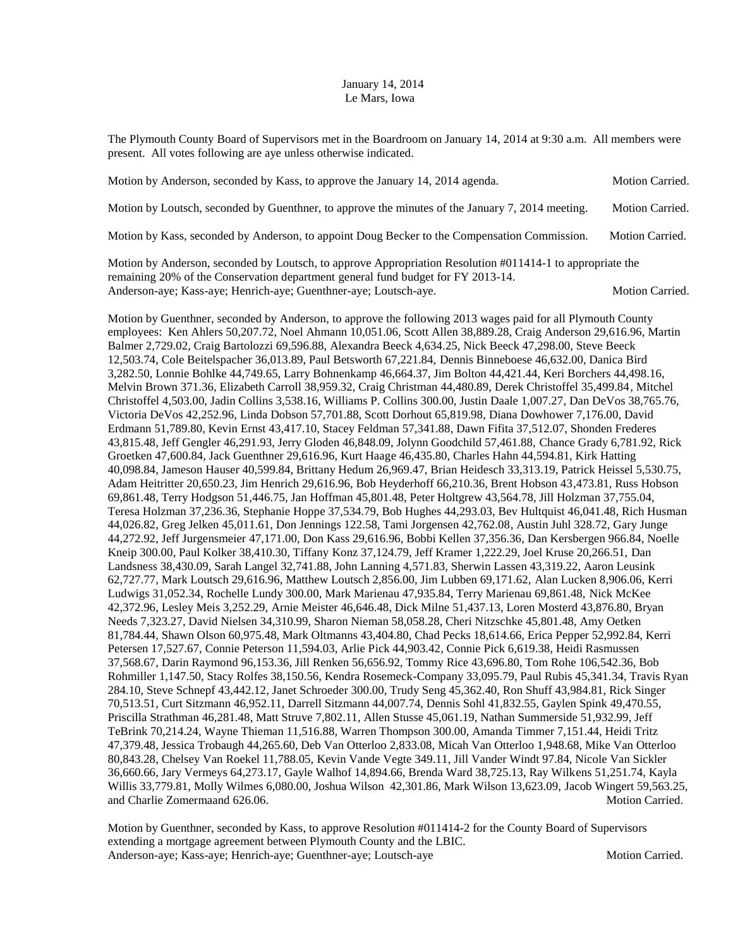## January 14, 2014 Le Mars, Iowa

The Plymouth County Board of Supervisors met in the Boardroom on January 14, 2014 at 9:30 a.m. All members were present. All votes following are aye unless otherwise indicated.

| Motion by Anderson, seconded by Kass, to approve the January 14, 2014 agenda.                                                                                                                                                                                                                                                                                                                                        | <b>Motion Carried.</b> |
|----------------------------------------------------------------------------------------------------------------------------------------------------------------------------------------------------------------------------------------------------------------------------------------------------------------------------------------------------------------------------------------------------------------------|------------------------|
| Motion by Loutsch, seconded by Guenthner, to approve the minutes of the January 7, 2014 meeting.                                                                                                                                                                                                                                                                                                                     | Motion Carried.        |
| Motion by Kass, seconded by Anderson, to appoint Doug Becker to the Compensation Commission.                                                                                                                                                                                                                                                                                                                         | Motion Carried.        |
| $\mathbf{M}$ at $\mathbf{M} = \mathbf{M} = \mathbf{M} = \mathbf{M} = \mathbf{M} = \mathbf{M} = \mathbf{M} = \mathbf{M} = \mathbf{M} = \mathbf{M} = \mathbf{M} = \mathbf{M} = \mathbf{M} = \mathbf{M} = \mathbf{M} = \mathbf{M} = \mathbf{M} = \mathbf{M} = \mathbf{M} = \mathbf{M} = \mathbf{M} = \mathbf{M} = \mathbf{M} = \mathbf{M} = \mathbf{M} = \mathbf{M} = \mathbf{M} = \mathbf{M} = \mathbf{M} = \mathbf{M$ |                        |

Motion by Anderson, seconded by Loutsch, to approve Appropriation Resolution #011414-1 to appropriate the remaining 20% of the Conservation department general fund budget for FY 2013-14. Anderson-aye; Kass-aye; Henrich-aye; Guenthner-aye; Loutsch-aye. Motion Carried. Motion Carried.

Motion by Guenthner, seconded by Anderson, to approve the following 2013 wages paid for all Plymouth County employees: Ken Ahlers 50,207.72, Noel Ahmann 10,051.06, Scott Allen 38,889.28, Craig Anderson 29,616.96, Martin Balmer 2,729.02, Craig Bartolozzi 69,596.88, Alexandra Beeck 4,634.25, Nick Beeck 47,298.00, Steve Beeck 12,503.74, Cole Beitelspacher 36,013.89, Paul Betsworth 67,221.84, Dennis Binneboese 46,632.00, Danica Bird 3,282.50, Lonnie Bohlke 44,749.65, Larry Bohnenkamp 46,664.37, Jim Bolton 44,421.44, Keri Borchers 44,498.16, Melvin Brown 371.36, Elizabeth Carroll 38,959.32, Craig Christman 44,480.89, Derek Christoffel 35,499.84, Mitchel Christoffel 4,503.00, Jadin Collins 3,538.16, Williams P. Collins 300.00, Justin Daale 1,007.27, Dan DeVos 38,765.76, Victoria DeVos 42,252.96, Linda Dobson 57,701.88, Scott Dorhout 65,819.98, Diana Dowhower 7,176.00, David Erdmann 51,789.80, Kevin Ernst 43,417.10, Stacey Feldman 57,341.88, Dawn Fifita 37,512.07, Shonden Frederes 43,815.48, Jeff Gengler 46,291.93, Jerry Gloden 46,848.09, Jolynn Goodchild 57,461.88, Chance Grady 6,781.92, Rick Groetken 47,600.84, Jack Guenthner 29,616.96, Kurt Haage 46,435.80, Charles Hahn 44,594.81, Kirk Hatting 40,098.84, Jameson Hauser 40,599.84, Brittany Hedum 26,969.47, Brian Heidesch 33,313.19, Patrick Heissel 5,530.75, Adam Heitritter 20,650.23, Jim Henrich 29,616.96, Bob Heyderhoff 66,210.36, Brent Hobson 43,473.81, Russ Hobson 69,861.48, Terry Hodgson 51,446.75, Jan Hoffman 45,801.48, Peter Holtgrew 43,564.78, Jill Holzman 37,755.04, Teresa Holzman 37,236.36, Stephanie Hoppe 37,534.79, Bob Hughes 44,293.03, Bev Hultquist 46,041.48, Rich Husman 44,026.82, Greg Jelken 45,011.61, Don Jennings 122.58, Tami Jorgensen 42,762.08, Austin Juhl 328.72, Gary Junge 44,272.92, Jeff Jurgensmeier 47,171.00, Don Kass 29,616.96, Bobbi Kellen 37,356.36, Dan Kersbergen 966.84, Noelle Kneip 300.00, Paul Kolker 38,410.30, Tiffany Konz 37,124.79, Jeff Kramer 1,222.29, Joel Kruse 20,266.51, Dan Landsness 38,430.09, Sarah Langel 32,741.88, John Lanning 4,571.83, Sherwin Lassen 43,319.22, Aaron Leusink 62,727.77, Mark Loutsch 29,616.96, Matthew Loutsch 2,856.00, Jim Lubben 69,171.62, Alan Lucken 8,906.06, Kerri Ludwigs 31,052.34, Rochelle Lundy 300.00, Mark Marienau 47,935.84, Terry Marienau 69,861.48, Nick McKee 42,372.96, Lesley Meis 3,252.29, Arnie Meister 46,646.48, Dick Milne 51,437.13, Loren Mosterd 43,876.80, Bryan Needs 7,323.27, David Nielsen 34,310.99, Sharon Nieman 58,058.28, Cheri Nitzschke 45,801.48, Amy Oetken 81,784.44, Shawn Olson 60,975.48, Mark Oltmanns 43,404.80, Chad Pecks 18,614.66, Erica Pepper 52,992.84, Kerri Petersen 17,527.67, Connie Peterson 11,594.03, Arlie Pick 44,903.42, Connie Pick 6,619.38, Heidi Rasmussen 37,568.67, Darin Raymond 96,153.36, Jill Renken 56,656.92, Tommy Rice 43,696.80, Tom Rohe 106,542.36, Bob Rohmiller 1,147.50, Stacy Rolfes 38,150.56, Kendra Rosemeck-Company 33,095.79, Paul Rubis 45,341.34, Travis Ryan 284.10, Steve Schnepf 43,442.12, Janet Schroeder 300.00, Trudy Seng 45,362.40, Ron Shuff 43,984.81, Rick Singer 70,513.51, Curt Sitzmann 46,952.11, Darrell Sitzmann 44,007.74, Dennis Sohl 41,832.55, Gaylen Spink 49,470.55, Priscilla Strathman 46,281.48, Matt Struve 7,802.11, Allen Stusse 45,061.19, Nathan Summerside 51,932.99, Jeff TeBrink 70,214.24, Wayne Thieman 11,516.88, Warren Thompson 300.00, Amanda Timmer 7,151.44, Heidi Tritz 47,379.48, Jessica Trobaugh 44,265.60, Deb Van Otterloo 2,833.08, Micah Van Otterloo 1,948.68, Mike Van Otterloo 80,843.28, Chelsey Van Roekel 11,788.05, Kevin Vande Vegte 349.11, Jill Vander Windt 97.84, Nicole Van Sickler 36,660.66, Jary Vermeys 64,273.17, Gayle Walhof 14,894.66, Brenda Ward 38,725.13, Ray Wilkens 51,251.74, Kayla Willis 33,779.81, Molly Wilmes 6,080.00, Joshua Wilson 42,301.86, Mark Wilson 13,623.09, Jacob Wingert 59,563.25, and Charlie Zomermaand 626.06. Motion Carried. Motion Carried.

Motion by Guenthner, seconded by Kass, to approve Resolution #011414-2 for the County Board of Supervisors extending a mortgage agreement between Plymouth County and the LBIC. Anderson-aye; Kass-aye; Henrich-aye; Guenthner-aye; Loutsch-aye Motion Carried.